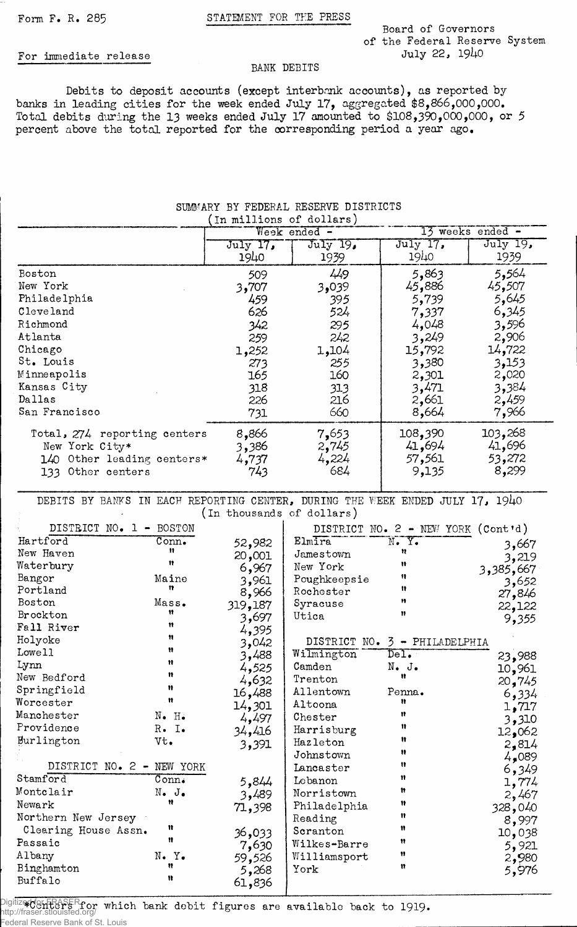## Form F. R. 285 STATEMENT FOR THE PRESS

BANK DEBITS

**Board of Governors of the Federal Reserve System**

## For immediate release

Debits to deposit accounts (except interbank accounts), as reported by banks in leading cities for the week ended July 17, aggregated \$8,866,000,000. Total debits during the 13 weeks ended July 17 amounted to \$108,390,000,000, or 5 percent above the total reported for the corresponding period a year ago.

## **SUMMARY BY FEDERAL RESERVE DISTRICTS \_\_\_\_(in millions of dollars) \_**

|                                                                                                   | TH WITTINGS OF MOTTSTS!        |                                |                                      |                                      |
|---------------------------------------------------------------------------------------------------|--------------------------------|--------------------------------|--------------------------------------|--------------------------------------|
|                                                                                                   | Week ended -                   |                                | $13$ weeks ended $-$                 |                                      |
|                                                                                                   | July 17,<br>1940               | $July$ 19,<br>1939             | July 17.<br>1940                     | July 19,<br>1939                     |
| Boston                                                                                            | 509                            | 449                            | 5,863                                | 5,564                                |
| New York                                                                                          | 3,707                          | 3,039                          | 45,886                               | 45,507                               |
| Philadelphia                                                                                      | 459                            | 395                            | 5,739                                | 5,645                                |
| Cleveland                                                                                         | 626                            | 524                            | 7,337                                | 6,345                                |
| Richmond                                                                                          | 342                            | 295                            | 4,048                                | 3,596                                |
| Atlanta                                                                                           | 259                            | 242                            | 3,249                                | 2,906                                |
| Chicago                                                                                           | 1,252                          | 1,104                          | 15,792                               | 14,722                               |
| St. Louis                                                                                         | 273                            | 255                            | 3,380                                | 3,153                                |
| Minneapolis                                                                                       | 165                            | 160                            | 2,301                                | 2,020                                |
| Kansas City                                                                                       | 318                            | 313                            | 3,471                                | 3,384                                |
| Dallas                                                                                            | 226                            | 216                            | 2,661                                | 2,459                                |
| San Francisco                                                                                     | 731                            | 660                            | 8,664                                | 7,966                                |
| Total, 274 reporting centers<br>New York City*<br>140 Other leading centers*<br>133 Other centers | 8,866<br>3,386<br>4,737<br>743 | 7,653<br>2,745<br>4,224<br>684 | 108,390<br>41,694<br>57,561<br>9,135 | 103,268<br>41,696<br>53,272<br>8,299 |

DEBITS BY BANKS IN EACH REPORTING CENTER, DURING THE WEEK ENDED JULY 17, 1940 **(In thousands of dollars)**

| DISTRICT NO. 1 - BOSTON   |                              |         |              | DISTRICT NO. 2 - NEW YORK (Cont'd) |                  |
|---------------------------|------------------------------|---------|--------------|------------------------------------|------------------|
| Hartford                  | Conn <sub>•</sub>            | 52,982  | Elmira       | $N_{\bullet}$ $Y_{\bullet}$        |                  |
| New Haven                 | Ħ                            | 20,001  | Jamestown    | n                                  | 3,667            |
| Waterbury                 | 11                           | 6,967   | New York     | Ħ                                  | 3,219            |
| Bangor                    | Maine                        | 3,961   | Poughkeepsie | Ħ                                  | 3,385,667        |
| Portland                  | n                            | 8,966   | Rochester    | Ħ                                  | 3,652            |
| Boston                    | Mass.                        | 319,187 | Syracuse     | Ħ                                  | 27,846           |
| Brockton                  | Ħ                            | 3,697   | Utica        | $\mathbf{v}$                       | 22,122           |
| Fall River                | Ħ                            | 4,395   |              |                                    | 9,355            |
| Holyoke                   | n                            | 3,042   |              | DISTRICT NO. 3 - PHILADELPHIA      |                  |
| Lowell                    | Ħ                            | 3,488   | Wilmington   | De1.                               | 23,988           |
| Lynn                      | Ħ                            | 4,525   | Camden       | $N_{\bullet}$ J.                   |                  |
| New Bedford               | n                            | 4,632   | Trenton      | Ħ                                  | 10,961           |
| Springfield               | Ħ                            | 16,488  | Allentown    | Penna.                             | 20,745           |
| Worcester                 | Ħ                            | 14,301  | Altoona      | n                                  | 6,334            |
| Manchester                | $N$ . $H$ .                  | 4,497   | Chester      | Ħ                                  | 1,717            |
| Providence                | $R$ . I.                     | 34,416  | Harrisburg   | 11                                 | 3,310            |
| Burlington                | Vt.                          | 3,391   | Hazleton     | Ħ                                  | 12,062           |
|                           |                              |         | Johnstown    | Ħ                                  | 2,814            |
| DISTRICT NO. 2 - NEW YORK |                              |         | Lancaster    | $\mathbf{u}$                       | 4,089<br>6,349   |
| Stamford                  | $\overline{\mathtt{Conn}}$ . | 5,844   | Lebanon      | n                                  |                  |
| Montclair                 | $N_{\bullet}$ J.             | 3,489   | Norristown   | Ħ                                  | 1,774<br>2,467   |
| Newark                    | Ħ                            | 71,398  | Philadelphia | 11                                 |                  |
| Northern New Jersey       |                              |         | Reading      | 11                                 | 328,040<br>8,997 |
| Clearing House Assn.      | Ħ                            | 36,033  | Scranton     | n                                  | 10,038           |
| Passaic                   | Ħ                            | 7,630   | Wilkes-Barre | Ħ                                  |                  |
| Albany                    | N.Y.                         | 59,526  | Williamsport | n                                  | 5,921            |
| Binghamton                | n                            | 5,268   | York         | n                                  | 2,980<br>5,976   |
| Buffalo                   | Ħ                            | 61,836  |              |                                    |                  |
|                           |                              |         |              |                                    |                  |

............................................................

Digitized for from which bank debit figures are available back to 1919. http://fraser.stlouisfed.org/ Federal Reserve Bank of St. Louis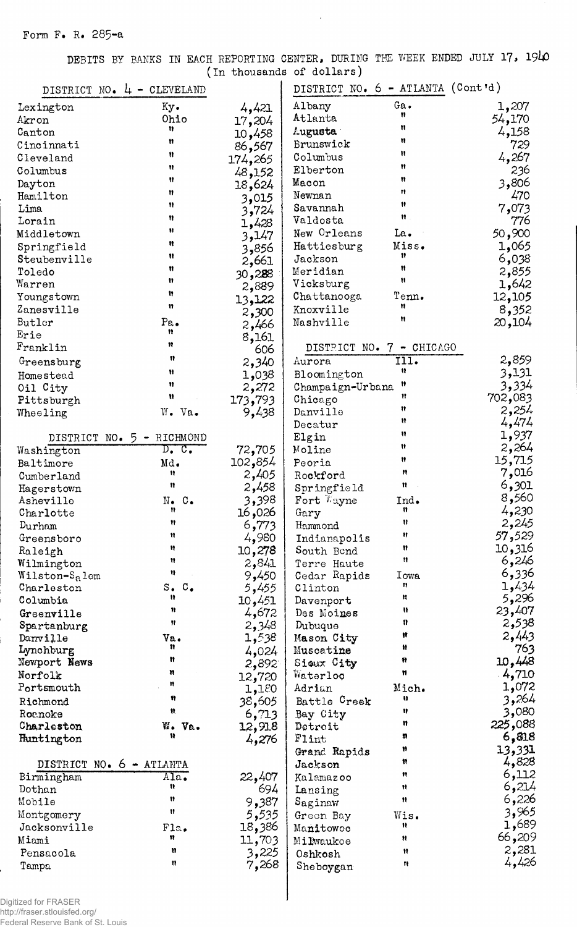DEBITS BY BANKS IN EACH REPORTING CENTER, DURING THE WEEK ENDED JULY 17, 1940

 $\sim$   $\alpha$ 

|                            | DISTRICT NO. 4 - CLEVELAND              |         | DISTRICT NO. 6 - ATLANTA (Cont'd) |                                          |                          |
|----------------------------|-----------------------------------------|---------|-----------------------------------|------------------------------------------|--------------------------|
| Lexington                  | Ky.                                     | 4,421   | Albany                            | Ga.                                      | 1,207                    |
| Akron                      | Ohio                                    | 17,204  | Atlanta                           | Ħ                                        | 54,170                   |
| Canton                     | Ħ                                       | 10,458  | <b>Augusta</b>                    | n                                        | 4,158                    |
| Cincinnati                 | Ħ                                       | 86,567  | Brunswick                         | Ħ                                        | 729                      |
| Cleveland                  | Ħ                                       | 174,265 | Columbus                          | n                                        | 4,267                    |
| Columbus                   | Ħ                                       | 48,152  | Elberton                          | Ħ                                        | 236                      |
| Dayton                     | ₩                                       | 18,624  | Macon                             | 11                                       | 3,806                    |
| Hamilton                   | Ħ                                       | 3,015   | Newnan                            | $\mathbf{H}$                             | 470                      |
| Lima                       | Ħ                                       | 3,724   | Savannah                          | Ħ                                        | 7,073                    |
| Lorain                     | Ħ                                       | 1,428   | Valdosta                          | $\mathfrak{n}$ .                         | 776                      |
| Middletown                 | Ħ                                       | 3,147   | New Orleans                       | La.                                      | 50,900                   |
| Springfield                | Ħ                                       | 3,856   | Hattiesburg                       | Miss.                                    | 1,065                    |
| Steubenville               | Ħ                                       | 2,661   | Jackson                           | 11                                       | 6,038                    |
| Toledo                     | Ħ                                       | 30,288  | Meridian                          | n                                        | 2,855                    |
| Warren                     | n                                       | 2,889   | Vicksburg                         | Ħ                                        | 1,642                    |
| Youngstown                 | n                                       | 13,122  | Chattanooga                       | Tenn.                                    | 12,105                   |
| Zanesville                 | n                                       | 2,300   | Knoxville                         | Ħ                                        | 8,352                    |
| Butler                     | Pa.                                     | 2,466   | Nashville                         | Ħ                                        | 20,104                   |
| Erie                       | n                                       | 8,161   |                                   |                                          |                          |
| Franklin                   | n                                       | 606     | DISTRICT NO. 7 - CHICAGO          |                                          |                          |
| Greensburg                 | n                                       | 2,340   | Aurora                            | $\overline{1}\overline{1}\overline{1}$ . | 2,859                    |
| Homestead                  | Ħ                                       | 1,038   | Bloomington                       | u                                        | 3,131                    |
| Oil City                   | n                                       | 2,272   | Champaign-Urbana                  | Ħ                                        | 3,334                    |
| Pittsburgh                 | n                                       | 173,793 | Chicago                           | Ħ                                        | 702,083                  |
| Wheeling                   | W. Va.                                  | 9,438   | Danville                          | Ħ                                        | 2,254                    |
|                            |                                         |         | Decatur                           | Ħ                                        | 4,474                    |
| DISTRICT NO.               | 5 - RICHMOND                            |         | Elgin                             | Ħ                                        | 1,937                    |
| Washington                 | $D_{\bullet}$ $C_{\bullet}$             | 72,705  | Moline                            | n                                        | 2,264                    |
| Baltimore                  | Md.                                     | 102,854 | Peoria                            | Ħ                                        | 15,715                   |
| Cumberland                 | Ħ                                       | 2,405   | Rockford                          | n                                        | 7,016                    |
| Hagerstown                 | n                                       | 2,458   | Springfield                       | Ħ                                        | 6,301                    |
| Asheville                  | $N_{\bullet}$ $C_{\bullet}$             | 3,398   | Fort Wayne                        | Ind.                                     | 8,560                    |
| Charlotte                  | n                                       | 16,026  | Gary                              | Ħ                                        | 4,230                    |
| Durham                     | Ħ                                       | 6,773   | Hammond                           | n                                        | 2,245                    |
| Greensboro                 | n                                       | 4,980   | Indianapolis                      | Ħ                                        | 57,529                   |
| Raleigh                    | Ħ                                       | 10,278  | South Bend                        | Ħ                                        | 10,316                   |
| Wilmington                 | 11                                      | 2,841   | Terre Haute                       | $^{\bullet\bullet}$                      | 6,246                    |
| Wilston-S <sub>a</sub> lem | u                                       | 9,450   | Cedar Rapids                      | Iowa                                     | 6,336                    |
| Charleston                 | $s_{\bullet}$<br>$\mathbf{c}_{\bullet}$ | 5,455   | Clinton                           | n                                        | 1,434                    |
| Columbia                   | n                                       | 10,451  | Davenport                         | Ħ                                        | 5,296                    |
| Greenville                 | n                                       | 4,672   | Des Moines                        | u                                        | 23,407                   |
| Spartanburg                | Ħ                                       | 2,348   | Dubuque                           | n                                        | 2,538                    |
| Danville                   | Va.                                     | 1,538   | Mason City                        | Ħ                                        | 2,443                    |
| Lynchburg                  | n                                       | 4,024   | Muscatine                         | Ħ                                        | 763                      |
| Newport News               | n                                       | 2,892   | Sioux City                        | Ħ                                        | 10,448                   |
| Norfolk                    | n<br>Ħ                                  | 12,720  | Waterloo                          | n                                        | 4,710                    |
| Portsmouth                 |                                         | 1,180   | Adrian                            | Mich.                                    | 1,072                    |
| Richmond                   | Ħ                                       | 38,605  | Battle Creek                      | Ħ                                        | 3,264                    |
| Roanoke                    | Ħ.                                      | 6,713   | Bay City                          | Ħ                                        | 3,080                    |
| Charleston                 | W. Va.                                  | 12,918  | Detroit                           | n                                        | 225,088                  |
| Huntington                 | Ħ                                       | 4,276   | Flint                             | n                                        | 6,818                    |
|                            |                                         |         | Grand Rapids                      | Ħ                                        | 13,331                   |
| DISTRICT NO. 6 - ATLANTA   |                                         |         | Jackson                           | Ħ                                        | 4,828                    |
| Birmingham                 | $\overline{\text{Ala}}$ .               | 22,407  | Kalamazoo                         | n                                        | 6,112                    |
| Dothan                     | n<br>Ħ                                  | 694     | Lansing                           | Ħ                                        | 6,214                    |
| Mobile                     | n                                       | 9,387   | Saginaw                           | Ħ                                        | 6,226                    |
| Montgomery                 |                                         | 5,535   | Green Bay                         | Wis.                                     | 3,965<br>1,689           |
| Jacksonville               | Fla.<br>n                               | 18,386  | Manitowoc                         | 11                                       |                          |
| Miami                      | n                                       | 11,703  | Milwaukce                         | n                                        | 209 <b>,</b> 66<br>2,281 |
| Pensacola                  | n                                       | 3,225   | Oshkosh                           | Ħ                                        | 4,426                    |
| Tampa                      |                                         | 7,268   | Sheboygan                         | 11                                       |                          |
|                            |                                         |         |                                   |                                          |                          |
| itized for EDASED          |                                         |         |                                   |                                          |                          |

,